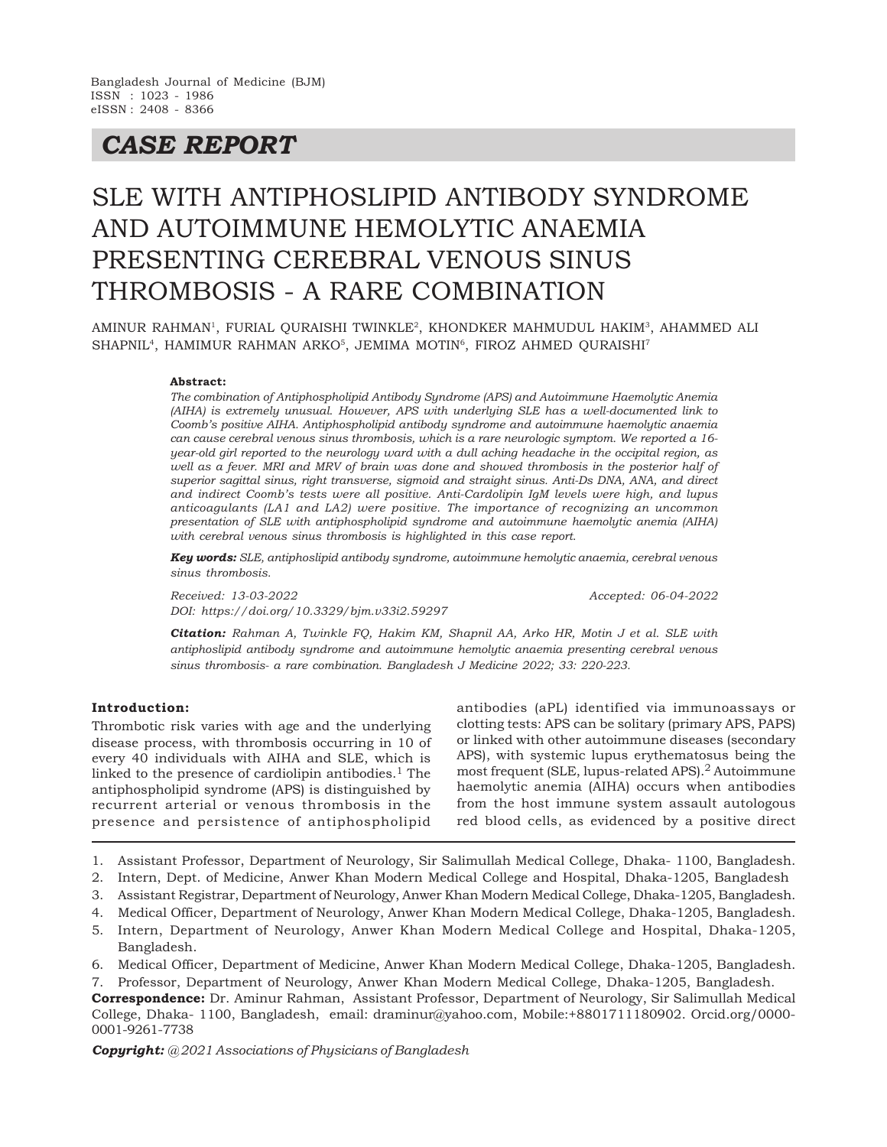# *CASE REPORT*

# SLE WITH ANTIPHOSLIPID ANTIBODY SYNDROME AND AUTOIMMUNE HEMOLYTIC ANAEMIA PRESENTING CEREBRAL VENOUS SINUS THROMBOSIS - A RARE COMBINATION

AMINUR RAHMAN<sup>1</sup>, FURIAL QURAISHI TWINKLE<sup>2</sup>, KHONDKER MAHMUDUL HAKIM<sup>3</sup>, AHAMMED ALI SHAPNIL<sup>4</sup>, HAMIMUR RAHMAN ARKO<sup>5</sup>, JEMIMA MOTIN<sup>6</sup>, FIROZ AHMED QURAISHI<sup>7</sup>

#### **Abstract:**

*The combination of Antiphospholipid Antibody Syndrome (APS) and Autoimmune Haemolytic Anemia (AIHA) is extremely unusual. However, APS with underlying SLE has a well-documented link to Coomb's positive AIHA. Antiphospholipid antibody syndrome and autoimmune haemolytic anaemia can cause cerebral venous sinus thrombosis, which is a rare neurologic symptom. We reported a 16 year-old girl reported to the neurology ward with a dull aching headache in the occipital region, as well as a fever. MRI and MRV of brain was done and showed thrombosis in the posterior half of superior sagittal sinus, right transverse, sigmoid and straight sinus. Anti-Ds DNA, ANA, and direct and indirect Coomb's tests were all positive. Anti-Cardolipin IgM levels were high, and lupus anticoagulants (LA1 and LA2) were positive. The importance of recognizing an uncommon presentation of SLE with antiphospholipid syndrome and autoimmune haemolytic anemia (AIHA) with cerebral venous sinus thrombosis is highlighted in this case report.*

*Key words: SLE, antiphoslipid antibody syndrome, autoimmune hemolytic anaemia, cerebral venous sinus thrombosis.*

*Received: 13-03-2022 Accepted: 06-04-2022 DOI: https://doi.org/10.3329/bjm.v33i2.59297*

*Citation: Rahman A, Twinkle FQ, Hakim KM, Shapnil AA, Arko HR, Motin J et al. SLE with antiphoslipid antibody syndrome and autoimmune hemolytic anaemia presenting cerebral venous sinus thrombosis- a rare combination. Bangladesh J Medicine 2022; 33: 220-223.*

#### **Introduction:**

Thrombotic risk varies with age and the underlying disease process, with thrombosis occurring in 10 of every 40 individuals with AIHA and SLE, which is linked to the presence of cardiolipin antibodies.<sup>1</sup> The antiphospholipid syndrome (APS) is distinguished by recurrent arterial or venous thrombosis in the presence and persistence of antiphospholipid

antibodies (aPL) identified via immunoassays or clotting tests: APS can be solitary (primary APS, PAPS) or linked with other autoimmune diseases (secondary APS), with systemic lupus erythematosus being the most frequent (SLE, lupus-related APS).<sup>2</sup> Autoimmune haemolytic anemia (AIHA) occurs when antibodies from the host immune system assault autologous red blood cells, as evidenced by a positive direct

- 1. Assistant Professor, Department of Neurology, Sir Salimullah Medical College, Dhaka- 1100, Bangladesh.
- 2. Intern, Dept. of Medicine, Anwer Khan Modern Medical College and Hospital, Dhaka-1205, Bangladesh
- 3. Assistant Registrar, Department of Neurology, Anwer Khan Modern Medical College, Dhaka-1205, Bangladesh.
- 4. Medical Officer, Department of Neurology, Anwer Khan Modern Medical College, Dhaka-1205, Bangladesh.
- 5. Intern, Department of Neurology, Anwer Khan Modern Medical College and Hospital, Dhaka-1205, Bangladesh.
- 6. Medical Officer, Department of Medicine, Anwer Khan Modern Medical College, Dhaka-1205, Bangladesh.
- 7. Professor, Department of Neurology, Anwer Khan Modern Medical College, Dhaka-1205, Bangladesh.
- **Correspondence:** Dr. Aminur Rahman, Assistant Professor, Department of Neurology, Sir Salimullah Medical College, Dhaka- 1100, Bangladesh, email: draminur@yahoo.com, Mobile:+8801711180902. Orcid.org/0000- 0001-9261-7738

*Copyright: @ 2021 Associations of Physicians of Bangladesh*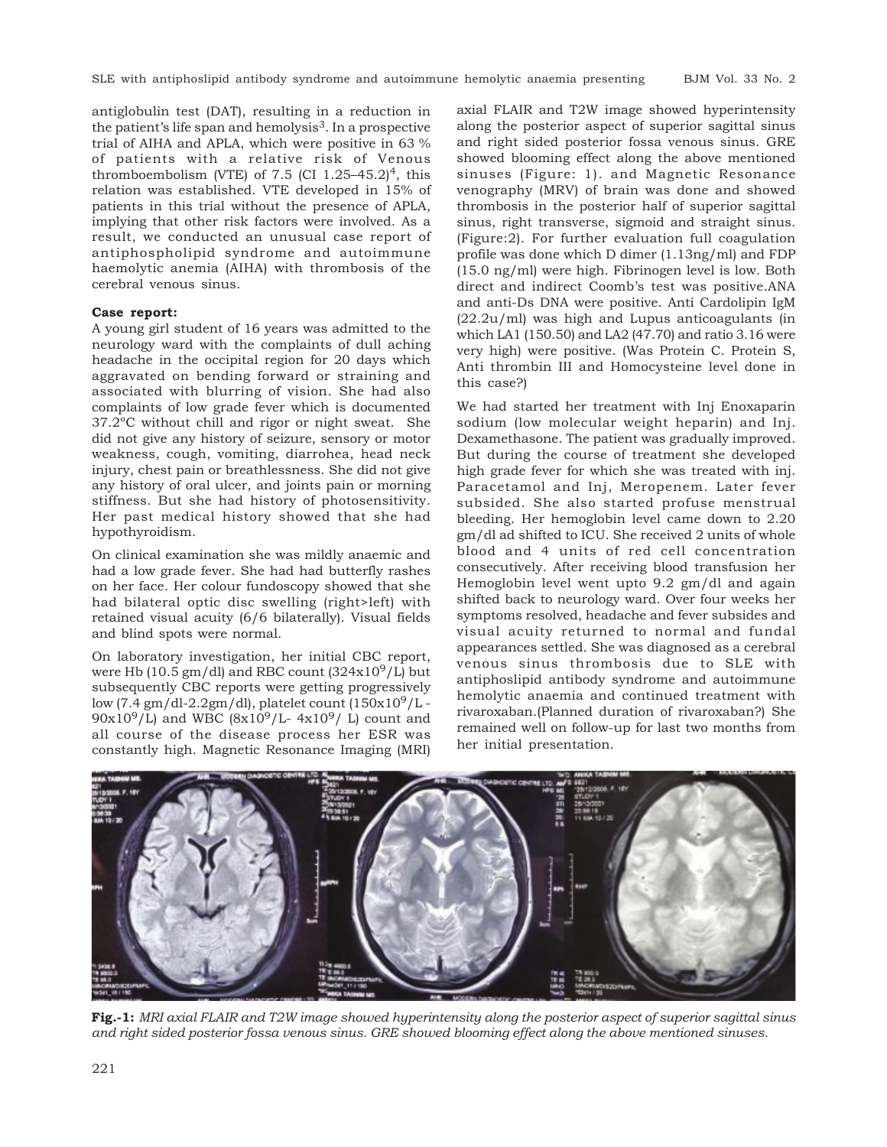antiglobulin test (DAT), resulting in a reduction in the patient's life span and hemolysis $3$ . In a prospective trial of AIHA and APLA, which were positive in 63 % of patients with a relative risk of Venous thromboembolism (VTE) of 7.5 (CI  $1.25-45.2$ )<sup>4</sup>, this relation was established. VTE developed in 15% of patients in this trial without the presence of APLA, implying that other risk factors were involved. As a result, we conducted an unusual case report of antiphospholipid syndrome and autoimmune haemolytic anemia (AIHA) with thrombosis of the cerebral venous sinus.

#### **Case report:**

A young girl student of 16 years was admitted to the neurology ward with the complaints of dull aching headache in the occipital region for 20 days which aggravated on bending forward or straining and associated with blurring of vision. She had also complaints of low grade fever which is documented 37.2ºC without chill and rigor or night sweat. She did not give any history of seizure, sensory or motor weakness, cough, vomiting, diarrohea, head neck injury, chest pain or breathlessness. She did not give any history of oral ulcer, and joints pain or morning stiffness. But she had history of photosensitivity. Her past medical history showed that she had hypothyroidism.

On clinical examination she was mildly anaemic and had a low grade fever. She had had butterfly rashes on her face. Her colour fundoscopy showed that she had bilateral optic disc swelling (right>left) with retained visual acuity (6/6 bilaterally). Visual fields and blind spots were normal.

On laboratory investigation, her initial CBC report, were Hb (10.5  $\text{gm/dl}$ ) and RBC count (324x10<sup>9</sup>/L) but subsequently CBC reports were getting progressively low (7.4 gm/dl-2.2gm/dl), platelet count  $(150x10^9/L 90x10^{9}/L$ ) and WBC  $(8x10^{9}/L - 4x10^{9}/ L)$  count and all course of the disease process her ESR was constantly high. Magnetic Resonance Imaging (MRI)

axial FLAIR and T2W image showed hyperintensity along the posterior aspect of superior sagittal sinus and right sided posterior fossa venous sinus. GRE showed blooming effect along the above mentioned sinuses (Figure: 1). and Magnetic Resonance venography (MRV) of brain was done and showed thrombosis in the posterior half of superior sagittal sinus, right transverse, sigmoid and straight sinus. (Figure:2). For further evaluation full coagulation profile was done which D dimer (1.13ng/ml) and FDP (15.0 ng/ml) were high. Fibrinogen level is low. Both direct and indirect Coomb's test was positive.ANA and anti-Ds DNA were positive. Anti Cardolipin IgM (22.2u/ml) was high and Lupus anticoagulants (in which LA1 (150.50) and LA2 (47.70) and ratio 3.16 were very high) were positive. (Was Protein C. Protein S, Anti thrombin III and Homocysteine level done in this case?)

We had started her treatment with Inj Enoxaparin sodium (low molecular weight heparin) and Inj. Dexamethasone. The patient was gradually improved. But during the course of treatment she developed high grade fever for which she was treated with inj. Paracetamol and Inj, Meropenem. Later fever subsided. She also started profuse menstrual bleeding. Her hemoglobin level came down to 2.20 gm/dl ad shifted to ICU. She received 2 units of whole blood and 4 units of red cell concentration consecutively. After receiving blood transfusion her Hemoglobin level went upto 9.2 gm/dl and again shifted back to neurology ward. Over four weeks her symptoms resolved, headache and fever subsides and visual acuity returned to normal and fundal appearances settled. She was diagnosed as a cerebral venous sinus thrombosis due to SLE with antiphoslipid antibody syndrome and autoimmune hemolytic anaemia and continued treatment with rivaroxaban.(Planned duration of rivaroxaban?) She remained well on follow-up for last two months from her initial presentation.



**Fig.-1:** *MRI axial FLAIR and T2W image showed hyperintensity along the posterior aspect of superior sagittal sinus and right sided posterior fossa venous sinus. GRE showed blooming effect along the above mentioned sinuses.*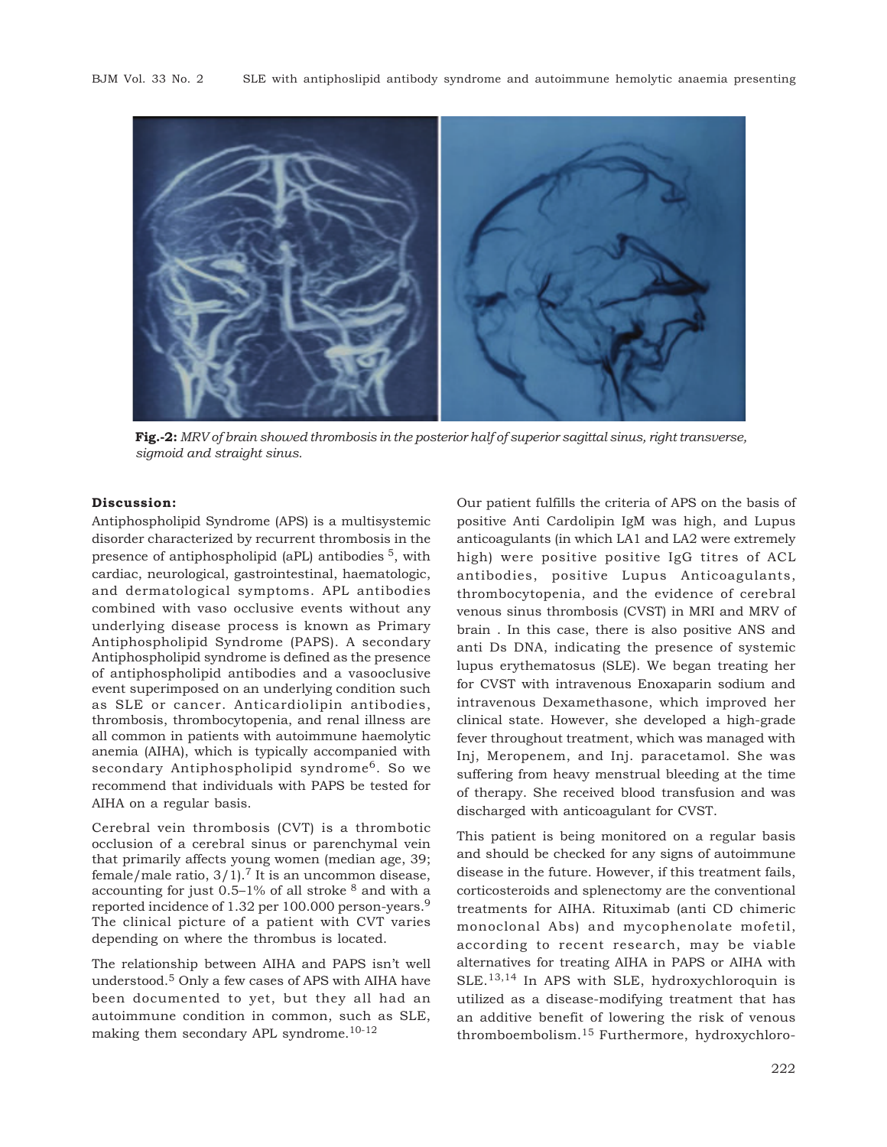

**Fig.-2:** *MRV of brain showed thrombosis in the posterior half of superior sagittal sinus, right transverse, sigmoid and straight sinus.*

### **Discussion:**

Antiphospholipid Syndrome (APS) is a multisystemic disorder characterized by recurrent thrombosis in the presence of antiphospholipid (aPL) antibodies 5, with cardiac, neurological, gastrointestinal, haematologic, and dermatological symptoms. APL antibodies combined with vaso occlusive events without any underlying disease process is known as Primary Antiphospholipid Syndrome (PAPS). A secondary Antiphospholipid syndrome is defined as the presence of antiphospholipid antibodies and a vasooclusive event superimposed on an underlying condition such as SLE or cancer. Anticardiolipin antibodies, thrombosis, thrombocytopenia, and renal illness are all common in patients with autoimmune haemolytic anemia (AIHA), which is typically accompanied with secondary Antiphospholipid syndrome<sup>6</sup>. So we recommend that individuals with PAPS be tested for AIHA on a regular basis.

Cerebral vein thrombosis (CVT) is a thrombotic occlusion of a cerebral sinus or parenchymal vein that primarily affects young women (median age, 39; female/male ratio,  $3/1$ ).<sup>7</sup> It is an uncommon disease, accounting for just 0.5–1% of all stroke  $8$  and with a reported incidence of 1.32 per 100.000 person-years.<sup>9</sup> The clinical picture of a patient with CVT varies depending on where the thrombus is located.

The relationship between AIHA and PAPS isn't well understood.5 Only a few cases of APS with AIHA have been documented to yet, but they all had an autoimmune condition in common, such as SLE, making them secondary APL syndrome. $10^{-12}$ 

Our patient fulfills the criteria of APS on the basis of positive Anti Cardolipin IgM was high, and Lupus anticoagulants (in which LA1 and LA2 were extremely high) were positive positive IgG titres of ACL antibodies, positive Lupus Anticoagulants, thrombocytopenia, and the evidence of cerebral venous sinus thrombosis (CVST) in MRI and MRV of brain . In this case, there is also positive ANS and anti Ds DNA, indicating the presence of systemic lupus erythematosus (SLE). We began treating her for CVST with intravenous Enoxaparin sodium and intravenous Dexamethasone, which improved her clinical state. However, she developed a high-grade fever throughout treatment, which was managed with Inj, Meropenem, and Inj. paracetamol. She was suffering from heavy menstrual bleeding at the time of therapy. She received blood transfusion and was discharged with anticoagulant for CVST.

This patient is being monitored on a regular basis and should be checked for any signs of autoimmune disease in the future. However, if this treatment fails, corticosteroids and splenectomy are the conventional treatments for AIHA. Rituximab (anti CD chimeric monoclonal Abs) and mycophenolate mofetil, according to recent research, may be viable alternatives for treating AIHA in PAPS or AIHA with SLE.13,14 In APS with SLE, hydroxychloroquin is utilized as a disease-modifying treatment that has an additive benefit of lowering the risk of venous thromboembolism.15 Furthermore, hydroxychloro